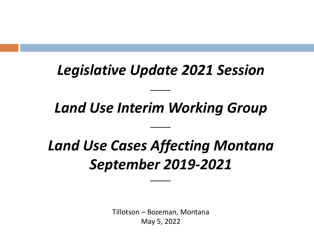### *Legislative Update 2021 Session*

### *Land Use Interim Working Group*

# *Land Use Cases Affecting Montana September 2019-2021*

*\_\_\_\_\_\_*

Tillotson – Bozeman, Montana May 5, 2022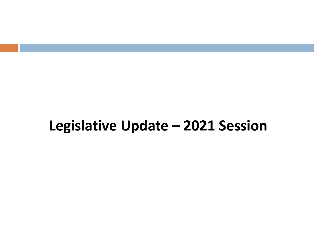### **Legislative Update – 2021 Session**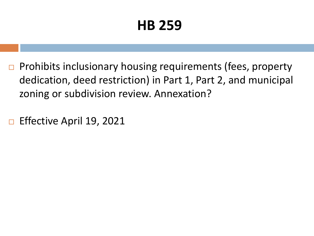# **HB 259**

- $\Box$  Prohibits inclusionary housing requirements (fees, property dedication, deed restriction) in Part 1, Part 2, and municipal zoning or subdivision review. Annexation?
- □ Effective April 19, 2021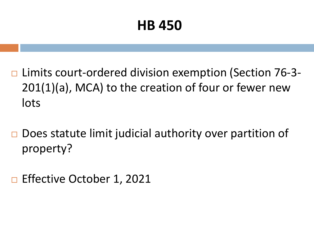### **HB 450**

- **□ Limits court-ordered division exemption (Section 76-3-**201(1)(a), MCA) to the creation of four or fewer new lots
- $\Box$  Does statute limit judicial authority over partition of property?
- Effective October 1, 2021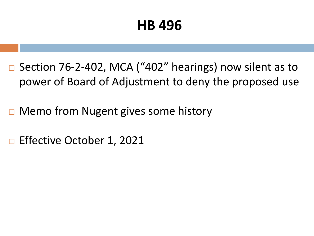### **HB 496**

- $\Box$  Section 76-2-402, MCA ("402" hearings) now silent as to power of Board of Adjustment to deny the proposed use
- $\Box$  Memo from Nugent gives some history
- □ Effective October 1, 2021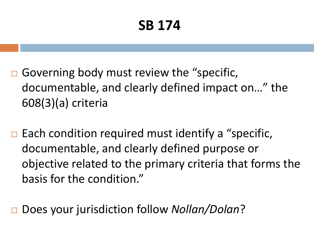# **SB 174**

- Governing body must review the "specific, documentable, and clearly defined impact on…" the 608(3)(a) criteria
- $\Box$  Each condition required must identify a "specific, documentable, and clearly defined purpose or objective related to the primary criteria that forms the basis for the condition."

Does your jurisdiction follow *Nollan/Dolan*?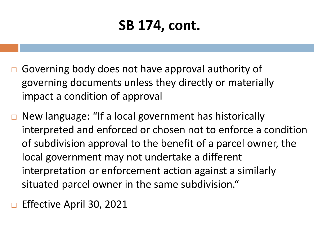### **SB 174, cont.**

- Governing body does not have approval authority of governing documents unless they directly or materially impact a condition of approval
- New language: "If a local government has historically interpreted and enforced or chosen not to enforce a condition of subdivision approval to the benefit of a parcel owner, the local government may not undertake a different interpretation or enforcement action against a similarly situated parcel owner in the same subdivision."
- Effective April 30, 2021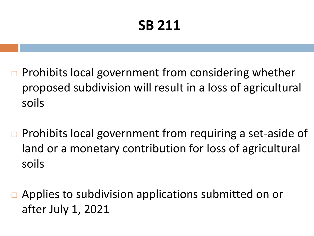# **SB 211**

- Prohibits local government from considering whether proposed subdivision will result in a loss of agricultural soils
- $\Box$  Prohibits local government from requiring a set-aside of land or a monetary contribution for loss of agricultural soils
- $\Box$  Applies to subdivision applications submitted on or after July 1, 2021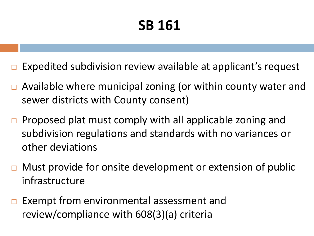# **SB 161**

- Expedited subdivision review available at applicant's request
- $\Box$  Available where municipal zoning (or within county water and sewer districts with County consent)
- $\Box$  Proposed plat must comply with all applicable zoning and subdivision regulations and standards with no variances or other deviations
- $\Box$  Must provide for onsite development or extension of public infrastructure
- $\Box$  Exempt from environmental assessment and review/compliance with 608(3)(a) criteria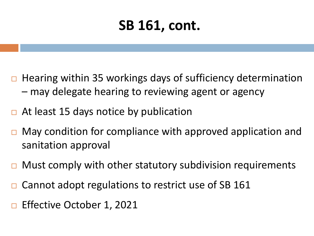### **SB 161, cont.**

- Hearing within 35 workings days of sufficiency determination – may delegate hearing to reviewing agent or agency
- At least 15 days notice by publication
- May condition for compliance with approved application and sanitation approval
- Must comply with other statutory subdivision requirements
- Cannot adopt regulations to restrict use of SB 161
- Effective October 1, 2021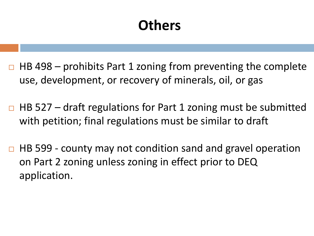### **Others**

- $\Box$  HB 498 prohibits Part 1 zoning from preventing the complete use, development, or recovery of minerals, oil, or gas
- $\Box$  HB 527 draft regulations for Part 1 zoning must be submitted with petition; final regulations must be similar to draft
- $\Box$  HB 599 county may not condition sand and gravel operation on Part 2 zoning unless zoning in effect prior to DEQ application.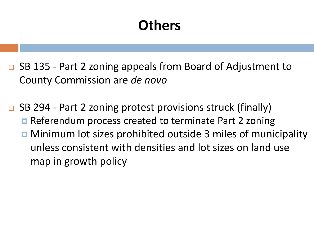### **Others**

- □ SB 135 Part 2 zoning appeals from Board of Adjustment to County Commission are *de novo*
- $\Box$  SB 294 Part 2 zoning protest provisions struck (finally) **□** Referendum process created to terminate Part 2 zoning **D** Minimum lot sizes prohibited outside 3 miles of municipality
	- unless consistent with densities and lot sizes on land use map in growth policy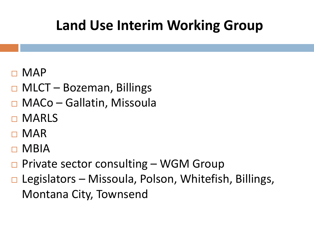- MAP
- $\Box$  MLCT Bozeman, Billings
- MACo Gallatin, Missoula
- D MARLS
- MAR
- MBIA
- Private sector consulting WGM Group
- $\Box$  Legislators Missoula, Polson, Whitefish, Billings, Montana City, Townsend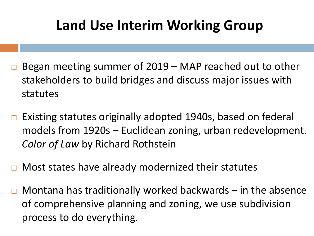- Began meeting summer of 2019 MAP reached out to other stakeholders to build bridges and discuss major issues with statutes
- $\Box$  Existing statutes originally adopted 1940s, based on federal models from 1920s – Euclidean zoning, urban redevelopment. *Color of Law* by Richard Rothstein
- Most states have already modernized their statutes
- $\Box$  Montana has traditionally worked backwards in the absence of comprehensive planning and zoning, we use subdivision process to do everything.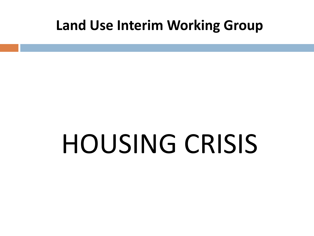# HOUSING CRISIS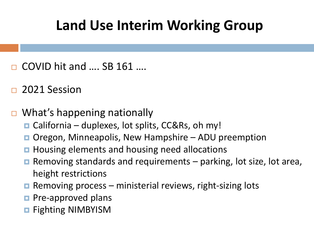- COVID hit and …. SB 161 ….
- 2021 Session
- What's happening nationally
	- $\Box$  California duplexes, lot splits, CC&Rs, oh my!
	- Oregon, Minneapolis, New Hampshire ADU preemption
	- **Housing elements and housing need allocations**
	- **E** Removing standards and requirements  $-$  parking, lot size, lot area, height restrictions
	- **Removing process ministerial reviews, right-sizing lots**
	- $\blacksquare$  Pre-approved plans
	- **Reading NIMBYISM**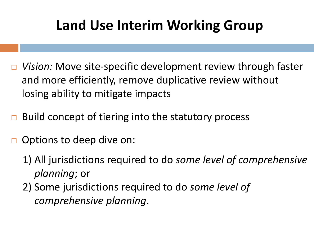- *Vision:* Move site-specific development review through faster and more efficiently, remove duplicative review without losing ability to mitigate impacts
- Build concept of tiering into the statutory process
- Options to deep dive on:
	- 1) All jurisdictions required to do *some level of comprehensive planning*; or
	- 2) Some jurisdictions required to do *some level of comprehensive planning*.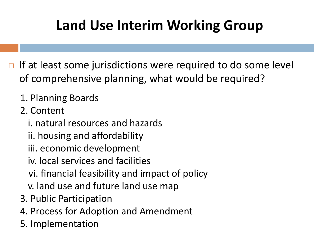- $\Box$  If at least some jurisdictions were required to do some level of comprehensive planning, what would be required?
	- 1. Planning Boards
	- 2. Content
		- i. natural resources and hazards
		- ii. housing and affordability
		- iii. economic development
		- iv. local services and facilities
		- vi. financial feasibility and impact of policy
		- v. land use and future land use map
	- 3. Public Participation
	- 4. Process for Adoption and Amendment
	- 5. Implementation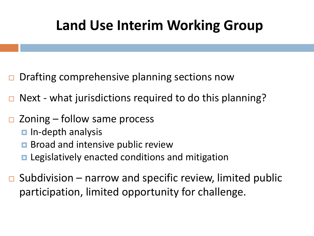- $\Box$  Drafting comprehensive planning sections now
- $\Box$  Next what jurisdictions required to do this planning?
- $\Box$  Zoning follow same process
	- $\blacksquare$  In-depth analysis
	- **Broad and intensive public review**
	- **E** Legislatively enacted conditions and mitigation
- $\Box$  Subdivision narrow and specific review, limited public participation, limited opportunity for challenge.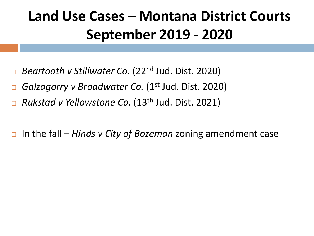# **Land Use Cases – Montana District Courts September 2019 - 2020**

- *Beartooth v Stillwater Co.* (22<sup>nd</sup> Jud. Dist. 2020)
- *Galzagorry v Broadwater Co.* (1<sup>st</sup> Jud. Dist. 2020)
- *Rukstad v Yellowstone Co.* (13<sup>th</sup> Jud. Dist. 2021)

In the fall – *Hinds v City of Bozeman* zoning amendment case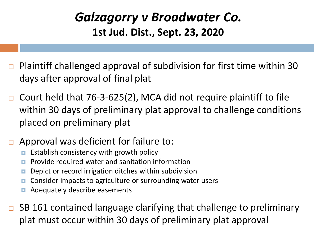#### *Galzagorry v Broadwater Co.*  **1st Jud. Dist., Sept. 23, 2020**

- Plaintiff challenged approval of subdivision for first time within 30 days after approval of final plat
- Court held that 76-3-625(2), MCA did not require plaintiff to file within 30 days of preliminary plat approval to challenge conditions placed on preliminary plat
- Approval was deficient for failure to:
	- Establish consistency with growth policy
	- **Provide required water and sanitation information**
	- **D** Depict or record irrigation ditches within subdivision
	- **n** Consider impacts to agriculture or surrounding water users
	- **E** Adequately describe easements
- SB 161 contained language clarifying that challenge to preliminary plat must occur within 30 days of preliminary plat approval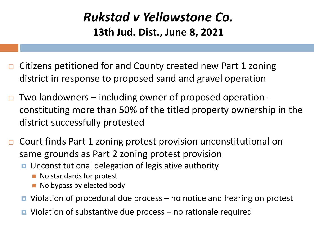#### *Rukstad v Yellowstone Co.*  **13th Jud. Dist., June 8, 2021**

- Citizens petitioned for and County created new Part 1 zoning district in response to proposed sand and gravel operation
- Two landowners including owner of proposed operation constituting more than 50% of the titled property ownership in the district successfully protested
- □ Court finds Part 1 zoning protest provision unconstitutional on same grounds as Part 2 zoning protest provision
	- Unconstitutional delegation of legislative authority
		- No standards for protest
		- No bypass by elected body
	- Violation of procedural due process no notice and hearing on protest
	- $\blacksquare$  Violation of substantive due process no rationale required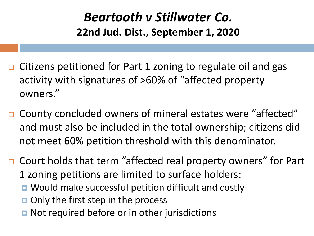#### *Beartooth v Stillwater Co.*  **22nd Jud. Dist., September 1, 2020**

- $\Box$  Citizens petitioned for Part 1 zoning to regulate oil and gas activity with signatures of >60% of "affected property owners."
- □ County concluded owners of mineral estates were "affected" and must also be included in the total ownership; citizens did not meet 60% petition threshold with this denominator.

□ Court holds that term "affected real property owners" for Part 1 zoning petitions are limited to surface holders: **D** Would make successful petition difficult and costly  $\Box$  Only the first step in the process

■ Not required before or in other jurisdictions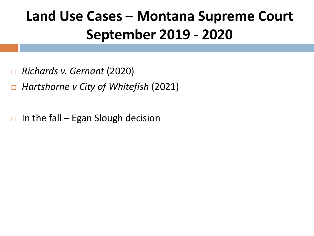# **Land Use Cases – Montana Supreme Court September 2019 - 2020**

- *Richards v. Gernant* (2020)
- *Hartshorne v City of Whitefish* (2021)
- $\Box$  In the fall Egan Slough decision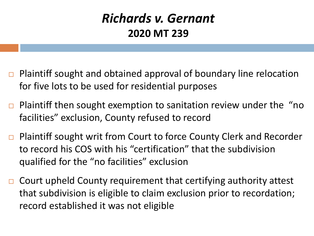#### *Richards v. Gernant*  **2020 MT 239**

- □ Plaintiff sought and obtained approval of boundary line relocation for five lots to be used for residential purposes
- $\Box$  Plaintiff then sought exemption to sanitation review under the "no facilities" exclusion, County refused to record
- □ Plaintiff sought writ from Court to force County Clerk and Recorder to record his COS with his "certification" that the subdivision qualified for the "no facilities" exclusion
- $\Box$  Court upheld County requirement that certifying authority attest that subdivision is eligible to claim exclusion prior to recordation; record established it was not eligible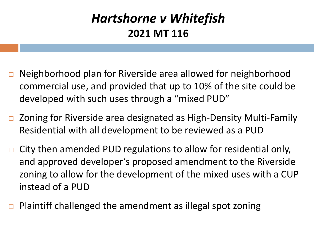#### *Hartshorne v Whitefish*  **2021 MT 116**

- □ Neighborhood plan for Riverside area allowed for neighborhood commercial use, and provided that up to 10% of the site could be developed with such uses through a "mixed PUD"
- □ Zoning for Riverside area designated as High-Density Multi-Family Residential with all development to be reviewed as a PUD
- $\Box$  City then amended PUD regulations to allow for residential only, and approved developer's proposed amendment to the Riverside zoning to allow for the development of the mixed uses with a CUP instead of a PUD
- Plaintiff challenged the amendment as illegal spot zoning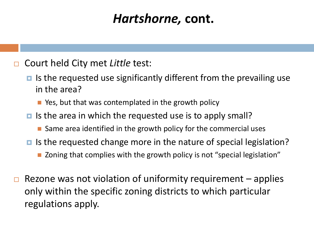### *Hartshorne,* **cont.**

- Court held City met *Little* test:
	- $\blacksquare$  Is the requested use significantly different from the prevailing use in the area?
		- Yes, but that was contemplated in the growth policy
	- $\blacksquare$  Is the area in which the requested use is to apply small?
		- Same area identified in the growth policy for the commercial uses
	- $\blacksquare$  Is the requested change more in the nature of special legislation?
		- Zoning that complies with the growth policy is not "special legislation"
- Rezone was not violation of uniformity requirement applies only within the specific zoning districts to which particular regulations apply.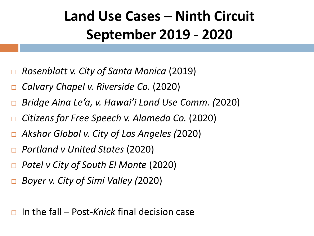# **Land Use Cases – Ninth Circuit September 2019 - 2020**

- *Rosenblatt v. City of Santa Monica* (2019)
- *Calvary Chapel v. Riverside Co.* (2020)
- *Bridge Aina Le'a, v. Hawai'i Land Use Comm. (*2020)
- *Citizens for Free Speech v. Alameda Co.* (2020)
- *Akshar Global v. City of Los Angeles (*2020)
- *Portland v United States* (2020)
- *Patel v City of South El Monte* (2020)
- *Boyer v. City of Simi Valley (*2020)

In the fall – Post-*Knick* final decision case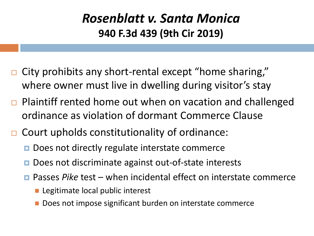#### *Rosenblatt v. Santa Monica* **940 F.3d 439 (9th Cir 2019)**

- City prohibits any short-rental except "home sharing," where owner must live in dwelling during visitor's stay
- Plaintiff rented home out when on vacation and challenged ordinance as violation of dormant Commerce Clause
- Court upholds constitutionality of ordinance:
	- **D** Does not directly regulate interstate commerce
	- Does not discriminate against out-of-state interests
	- Passes *Pike* test when incidental effect on interstate commerce
		- Legitimate local public interest
		- Does not impose significant burden on interstate commerce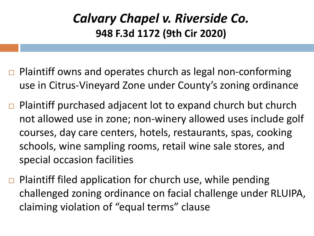#### *Calvary Chapel v. Riverside Co.* **948 F.3d 1172 (9th Cir 2020)**

- $\Box$  Plaintiff owns and operates church as legal non-conforming use in Citrus-Vineyard Zone under County's zoning ordinance
- $\Box$  Plaintiff purchased adjacent lot to expand church but church not allowed use in zone; non-winery allowed uses include golf courses, day care centers, hotels, restaurants, spas, cooking schools, wine sampling rooms, retail wine sale stores, and special occasion facilities
- $\Box$  Plaintiff filed application for church use, while pending challenged zoning ordinance on facial challenge under RLUIPA, claiming violation of "equal terms" clause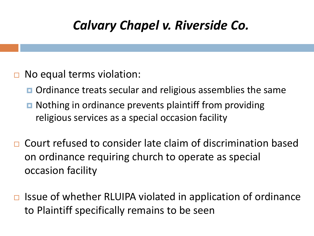### *Calvary Chapel v. Riverside Co.*

- **□** No equal terms violation:
	- **O** Ordinance treats secular and religious assemblies the same
	- **□** Nothing in ordinance prevents plaintiff from providing religious services as a special occasion facility
- □ Court refused to consider late claim of discrimination based on ordinance requiring church to operate as special occasion facility
- $\Box$  Issue of whether RLUIPA violated in application of ordinance to Plaintiff specifically remains to be seen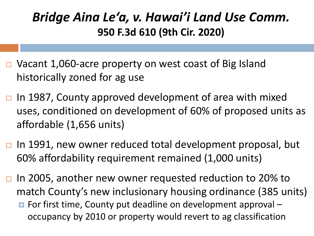#### *Bridge Aina Le'a, v. Hawai'i Land Use Comm.*  **950 F.3d 610 (9th Cir. 2020)**

- □ Vacant 1,060-acre property on west coast of Big Island historically zoned for ag use
- $\Box$  In 1987, County approved development of area with mixed uses, conditioned on development of 60% of proposed units as affordable (1,656 units)
- $\Box$  In 1991, new owner reduced total development proposal, but 60% affordability requirement remained (1,000 units)
- □ In 2005, another new owner requested reduction to 20% to match County's new inclusionary housing ordinance (385 units)
	- For first time, County put deadline on development approval occupancy by 2010 or property would revert to ag classification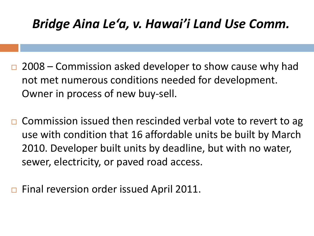### *Bridge Aina Le'a, v. Hawai'i Land Use Comm.*

- 2008 Commission asked developer to show cause why had not met numerous conditions needed for development. Owner in process of new buy-sell.
- Commission issued then rescinded verbal vote to revert to ag use with condition that 16 affordable units be built by March 2010. Developer built units by deadline, but with no water, sewer, electricity, or paved road access.
- Final reversion order issued April 2011.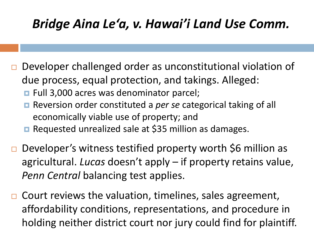### *Bridge Aina Le'a, v. Hawai'i Land Use Comm.*

- Developer challenged order as unconstitutional violation of due process, equal protection, and takings. Alleged:
	- Full 3,000 acres was denominator parcel;
	- Reversion order constituted a *per se* categorical taking of all economically viable use of property; and
	- Requested unrealized sale at \$35 million as damages.
- Developer's witness testified property worth \$6 million as agricultural. *Lucas* doesn't apply – if property retains value, *Penn Central* balancing test applies.
- $\Box$  Court reviews the valuation, timelines, sales agreement, affordability conditions, representations, and procedure in holding neither district court nor jury could find for plaintiff.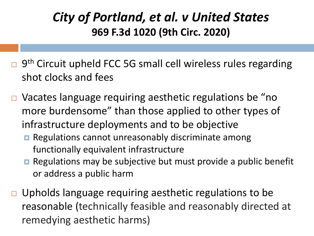#### *City of Portland, et al. v United States* **969 F.3d 1020 (9th Circ. 2020)**

- 9<sup>th</sup> Circuit upheld FCC 5G small cell wireless rules regarding shot clocks and fees
- Vacates language requiring aesthetic regulations be "no more burdensome" than those applied to other types of infrastructure deployments and to be objective
	- **Regulations cannot unreasonably discriminate among** functionally equivalent infrastructure
	- Regulations may be subjective but must provide a public benefit or address a public harm
- $\Box$  Upholds language requiring aesthetic regulations to be reasonable (technically feasible and reasonably directed at remedying aesthetic harms)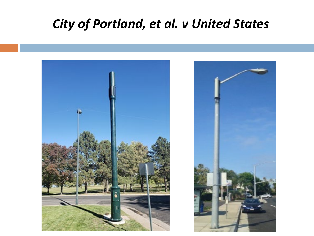#### *City of Portland, et al. v United States*

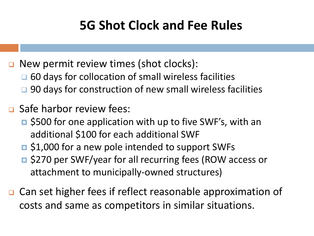### **5G Shot Clock and Fee Rules**

New permit review times (shot clocks):

- □ 60 days for collocation of small wireless facilities
- □ 90 days for construction of new small wireless facilities
- **<u>n</u>** Safe harbor review fees:
	- **□** \$500 for one application with up to five SWF's, with an additional \$100 for each additional SWF
	- **□** \$1,000 for a new pole intended to support SWFs
	- **□ \$270 per SWF/year for all recurring fees (ROW access or** attachment to municipally-owned structures)
- **□** Can set higher fees if reflect reasonable approximation of costs and same as competitors in similar situations.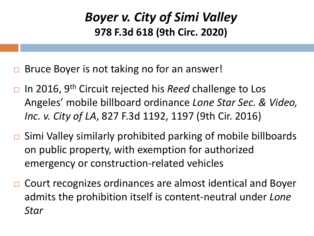#### *Boyer v. City of Simi Valley* **978 F.3d 618 (9th Circ. 2020)**

- Bruce Boyer is not taking no for an answer!
- □ In 2016, 9<sup>th</sup> Circuit rejected his *Reed* challenge to Los Angeles' mobile billboard ordinance *Lone Star Sec. & Video, Inc. v. City of LA*, 827 F.3d 1192, 1197 (9th Cir. 2016)
- $\Box$  Simi Valley similarly prohibited parking of mobile billboards on public property, with exemption for authorized emergency or construction-related vehicles
- □ Court recognizes ordinances are almost identical and Boyer admits the prohibition itself is content-neutral under *Lone Star*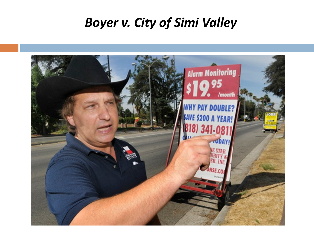#### *Boyer v. City of Simi Valley*

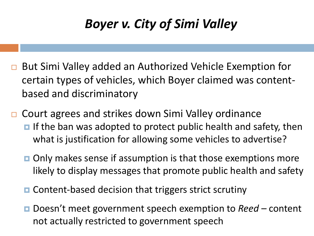### *Boyer v. City of Simi Valley*

- But Simi Valley added an Authorized Vehicle Exemption for certain types of vehicles, which Boyer claimed was contentbased and discriminatory
- Court agrees and strikes down Simi Valley ordinance  $\blacksquare$  If the ban was adopted to protect public health and safety, then what is justification for allowing some vehicles to advertise?
	- $\blacksquare$  Only makes sense if assumption is that those exemptions more likely to display messages that promote public health and safety
	- **□** Content-based decision that triggers strict scrutiny
	- Doesn't meet government speech exemption to *Reed* content not actually restricted to government speech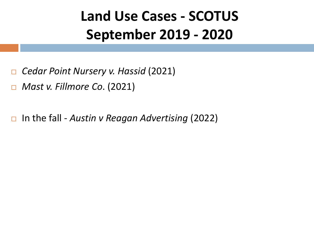# **Land Use Cases - SCOTUS September 2019 - 2020**

- *Cedar Point Nursery v. Hassid* (2021)
- *Mast v. Fillmore Co*. (2021)
- In the fall *Austin v Reagan Advertising* (2022)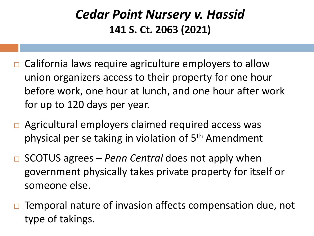#### *Cedar Point Nursery v. Hassid*  **141 S. Ct. 2063 (2021)**

- $\Box$  California laws require agriculture employers to allow union organizers access to their property for one hour before work, one hour at lunch, and one hour after work for up to 120 days per year.
- □ Agricultural employers claimed required access was physical per se taking in violation of 5th Amendment
- □ SCOTUS agrees *Penn Central* does not apply when government physically takes private property for itself or someone else.
- $\Box$  Temporal nature of invasion affects compensation due, not type of takings.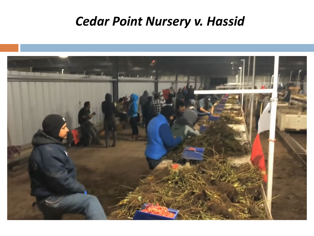#### *Cedar Point Nursery v. Hassid*

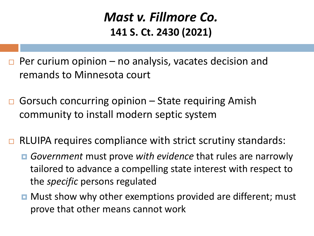#### *Mast v. Fillmore Co.*  **141 S. Ct. 2430 (2021)**

- $\Box$  Per curium opinion no analysis, vacates decision and remands to Minnesota court
- Gorsuch concurring opinion  $-$  State requiring Amish community to install modern septic system
- $\Box$  RLUIPA requires compliance with strict scrutiny standards:
	- *Government* must prove *with evidence* that rules are narrowly tailored to advance a compelling state interest with respect to the *specific* persons regulated
	- **D** Must show why other exemptions provided are different; must prove that other means cannot work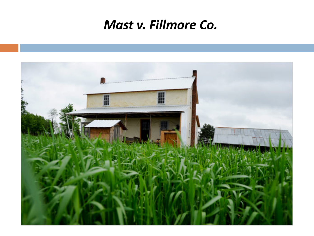#### *Mast v. Fillmore Co.*